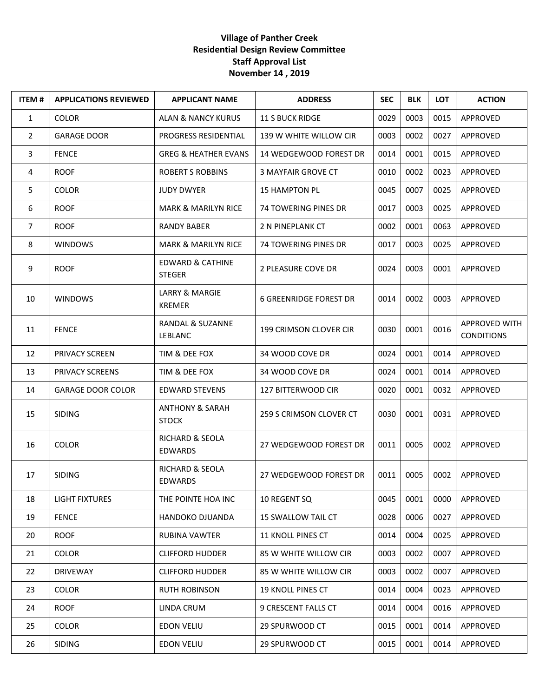## **Village of Panther Creek Residential Design Review Committee Staff Approval List November 14 , 2019**

| <b>ITEM#</b>   | <b>APPLICATIONS REVIEWED</b> | <b>APPLICANT NAME</b>                        | <b>ADDRESS</b>                | <b>SEC</b> | <b>BLK</b> | <b>LOT</b> | <b>ACTION</b>                      |
|----------------|------------------------------|----------------------------------------------|-------------------------------|------------|------------|------------|------------------------------------|
| $\mathbf{1}$   | <b>COLOR</b>                 | <b>ALAN &amp; NANCY KURUS</b>                | <b>11 S BUCK RIDGE</b>        | 0029       | 0003       | 0015       | APPROVED                           |
| $\overline{2}$ | <b>GARAGE DOOR</b>           | PROGRESS RESIDENTIAL                         | 139 W WHITE WILLOW CIR        | 0003       | 0002       | 0027       | APPROVED                           |
| 3              | <b>FENCE</b>                 | <b>GREG &amp; HEATHER EVANS</b>              | 14 WEDGEWOOD FOREST DR        | 0014       | 0001       | 0015       | APPROVED                           |
| 4              | <b>ROOF</b>                  | <b>ROBERT S ROBBINS</b>                      | <b>3 MAYFAIR GROVE CT</b>     | 0010       | 0002       | 0023       | APPROVED                           |
| 5              | <b>COLOR</b>                 | <b>JUDY DWYER</b>                            | <b>15 HAMPTON PL</b>          | 0045       | 0007       | 0025       | APPROVED                           |
| 6              | <b>ROOF</b>                  | <b>MARK &amp; MARILYN RICE</b>               | <b>74 TOWERING PINES DR</b>   | 0017       | 0003       | 0025       | APPROVED                           |
| $\overline{7}$ | <b>ROOF</b>                  | <b>RANDY BABER</b>                           | 2 N PINEPLANK CT              | 0002       | 0001       | 0063       | APPROVED                           |
| 8              | <b>WINDOWS</b>               | <b>MARK &amp; MARILYN RICE</b>               | 74 TOWERING PINES DR          | 0017       | 0003       | 0025       | APPROVED                           |
| 9              | <b>ROOF</b>                  | <b>EDWARD &amp; CATHINE</b><br><b>STEGER</b> | 2 PLEASURE COVE DR            | 0024       | 0003       | 0001       | APPROVED                           |
| 10             | <b>WINDOWS</b>               | <b>LARRY &amp; MARGIE</b><br><b>KREMER</b>   | <b>6 GREENRIDGE FOREST DR</b> | 0014       | 0002       | 0003       | APPROVED                           |
| 11             | <b>FENCE</b>                 | RANDAL & SUZANNE<br><b>LEBLANC</b>           | 199 CRIMSON CLOVER CIR        | 0030       | 0001       | 0016       | APPROVED WITH<br><b>CONDITIONS</b> |
| 12             | PRIVACY SCREEN               | TIM & DEE FOX                                | 34 WOOD COVE DR               | 0024       | 0001       | 0014       | APPROVED                           |
| 13             | PRIVACY SCREENS              | TIM & DEE FOX                                | 34 WOOD COVE DR               | 0024       | 0001       | 0014       | APPROVED                           |
| 14             | <b>GARAGE DOOR COLOR</b>     | <b>EDWARD STEVENS</b>                        | 127 BITTERWOOD CIR            | 0020       | 0001       | 0032       | APPROVED                           |
| 15             | <b>SIDING</b>                | <b>ANTHONY &amp; SARAH</b><br><b>STOCK</b>   | 259 S CRIMSON CLOVER CT       | 0030       | 0001       | 0031       | APPROVED                           |
| 16             | <b>COLOR</b>                 | RICHARD & SEOLA<br><b>EDWARDS</b>            | 27 WEDGEWOOD FOREST DR        | 0011       | 0005       | 0002       | APPROVED                           |
| 17             | <b>SIDING</b>                | RICHARD & SEOLA<br><b>EDWARDS</b>            | 27 WEDGEWOOD FOREST DR        | 0011       | 0005       | 0002       | APPROVED                           |
| 18             | <b>LIGHT FIXTURES</b>        | THE POINTE HOA INC                           | 10 REGENT SQ                  | 0045       | 0001       | 0000       | APPROVED                           |
| 19             | <b>FENCE</b>                 | <b>HANDOKO DJUANDA</b>                       | <b>15 SWALLOW TAIL CT</b>     | 0028       | 0006       | 0027       | APPROVED                           |
| 20             | <b>ROOF</b>                  | RUBINA VAWTER                                | <b>11 KNOLL PINES CT</b>      | 0014       | 0004       | 0025       | APPROVED                           |
| 21             | <b>COLOR</b>                 | <b>CLIFFORD HUDDER</b>                       | 85 W WHITE WILLOW CIR         | 0003       | 0002       | 0007       | APPROVED                           |
| 22             | <b>DRIVEWAY</b>              | <b>CLIFFORD HUDDER</b>                       | 85 W WHITE WILLOW CIR         | 0003       | 0002       | 0007       | APPROVED                           |
| 23             | <b>COLOR</b>                 | <b>RUTH ROBINSON</b>                         | <b>19 KNOLL PINES CT</b>      | 0014       | 0004       | 0023       | APPROVED                           |
| 24             | <b>ROOF</b>                  | LINDA CRUM                                   | 9 CRESCENT FALLS CT           | 0014       | 0004       | 0016       | APPROVED                           |
| 25             | <b>COLOR</b>                 | <b>EDON VELIU</b>                            | 29 SPURWOOD CT                | 0015       | 0001       | 0014       | APPROVED                           |
| 26             | <b>SIDING</b>                | <b>EDON VELIU</b>                            | 29 SPURWOOD CT                | 0015       | 0001       | 0014       | APPROVED                           |